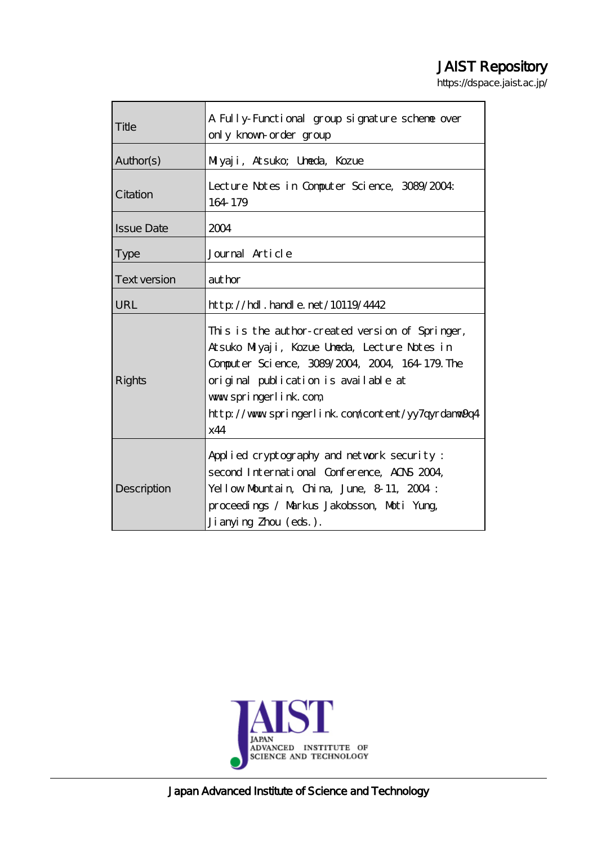# JAIST Repository

https://dspace.jaist.ac.jp/

| Title               | A Fully-Functional group signature scheme over<br>only known order group                                                                                                                                                                                                         |  |  |
|---------------------|----------------------------------------------------------------------------------------------------------------------------------------------------------------------------------------------------------------------------------------------------------------------------------|--|--|
| Author(s)           | Miyaji, Atsuko; Unada, Kozue                                                                                                                                                                                                                                                     |  |  |
| Citation            | Lecture Notes in Computer Science, 3089/2004:<br>164 179                                                                                                                                                                                                                         |  |  |
| <b>Issue Date</b>   | 2004                                                                                                                                                                                                                                                                             |  |  |
| <b>Type</b>         | Journal Article                                                                                                                                                                                                                                                                  |  |  |
| <b>Text version</b> | author                                                                                                                                                                                                                                                                           |  |  |
| URL                 | $http$ // $hdl$ . handle. net/10119/4442                                                                                                                                                                                                                                         |  |  |
| <b>Rights</b>       | This is the author-created version of Springer,<br>Atsuko Milyaji, Kozue Uneda, Lecture Notes in<br>Computer Science, 3089/2004, 2004, 164-179. The<br>original publication is available at<br>www.springerlink.com<br>http://www.springerlink.com/content/yy7qyrdanw9cq4<br>x44 |  |  |
| Description         | Applied cryptography and network security:<br>second International Conference, AOS 2004.<br>Yellow Mountain, China, June, 8-11, 2004:<br>proceedings / Markus Jakobsson, Moti Yung,<br>Ji anying Zhou (eds.).                                                                    |  |  |



Japan Advanced Institute of Science and Technology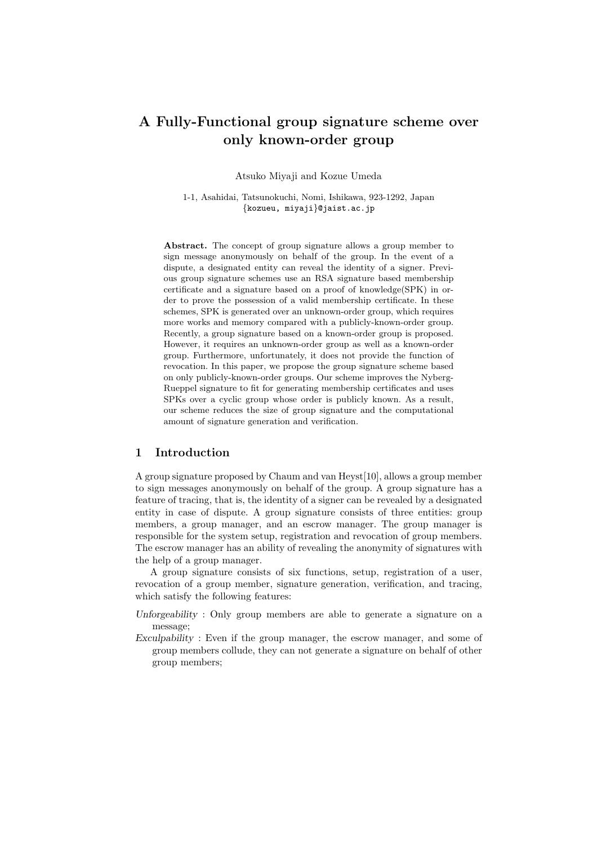Atsuko Miyaji and Kozue Umeda

1-1, Asahidai, Tatsunokuchi, Nomi, Ishikawa, 923-1292, Japan {kozueu, miyaji}@jaist.ac.jp

Abstract. The concept of group signature allows a group member to sign message anonymously on behalf of the group. In the event of a dispute, a designated entity can reveal the identity of a signer. Previous group signature schemes use an RSA signature based membership certificate and a signature based on a proof of knowledge(SPK) in order to prove the possession of a valid membership certificate. In these schemes, SPK is generated over an unknown-order group, which requires more works and memory compared with a publicly-known-order group. Recently, a group signature based on a known-order group is proposed. However, it requires an unknown-order group as well as a known-order group. Furthermore, unfortunately, it does not provide the function of revocation. In this paper, we propose the group signature scheme based on only publicly-known-order groups. Our scheme improves the Nyberg-Rueppel signature to fit for generating membership certificates and uses SPKs over a cyclic group whose order is publicly known. As a result, our scheme reduces the size of group signature and the computational amount of signature generation and verification.

## 1 Introduction

A group signature proposed by Chaum and van Heyst[10], allows a group member to sign messages anonymously on behalf of the group. A group signature has a feature of tracing, that is, the identity of a signer can be revealed by a designated entity in case of dispute. A group signature consists of three entities: group members, a group manager, and an escrow manager. The group manager is responsible for the system setup, registration and revocation of group members. The escrow manager has an ability of revealing the anonymity of signatures with the help of a group manager.

A group signature consists of six functions, setup, registration of a user, revocation of a group member, signature generation, verification, and tracing, which satisfy the following features:

- Unforgeability : Only group members are able to generate a signature on a message;
- Exculpability : Even if the group manager, the escrow manager, and some of group members collude, they can not generate a signature on behalf of other group members;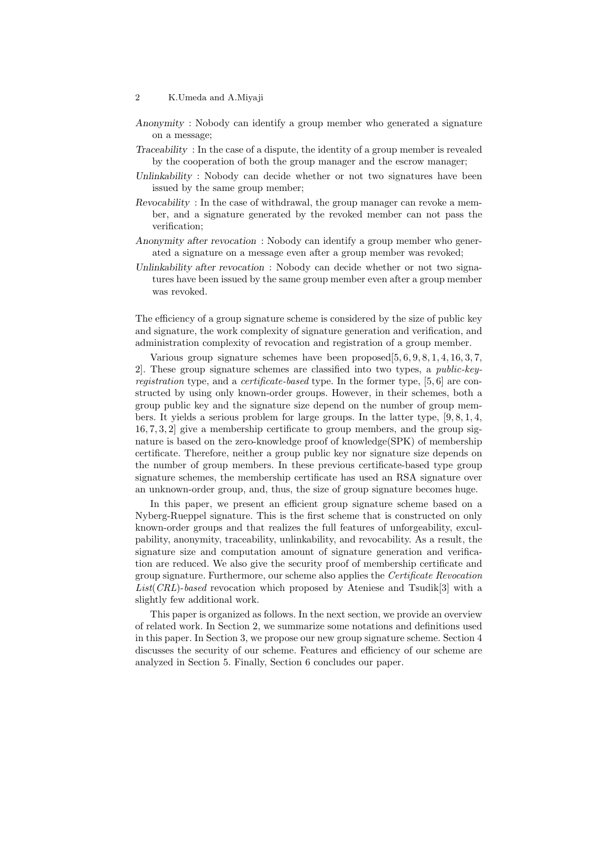- Anonymity : Nobody can identify a group member who generated a signature on a message;
- Traceability : In the case of a dispute, the identity of a group member is revealed by the cooperation of both the group manager and the escrow manager;
- Unlinkability : Nobody can decide whether or not two signatures have been issued by the same group member;
- Revocability : In the case of withdrawal, the group manager can revoke a member, and a signature generated by the revoked member can not pass the verification;
- Anonymity after revocation : Nobody can identify a group member who generated a signature on a message even after a group member was revoked;
- Unlinkability after revocation : Nobody can decide whether or not two signatures have been issued by the same group member even after a group member was revoked.

The efficiency of a group signature scheme is considered by the size of public key and signature, the work complexity of signature generation and verification, and administration complexity of revocation and registration of a group member.

Various group signature schemes have been proposed[5, 6, 9, 8, 1, 4, 16, 3, 7, 2]. These group signature schemes are classified into two types, a public-keyregistration type, and a certificate-based type. In the former type, [5, 6] are constructed by using only known-order groups. However, in their schemes, both a group public key and the signature size depend on the number of group members. It yields a serious problem for large groups. In the latter type, [9, 8, 1, 4, 16, 7, 3, 2] give a membership certificate to group members, and the group signature is based on the zero-knowledge proof of knowledge(SPK) of membership certificate. Therefore, neither a group public key nor signature size depends on the number of group members. In these previous certificate-based type group signature schemes, the membership certificate has used an RSA signature over an unknown-order group, and, thus, the size of group signature becomes huge.

In this paper, we present an efficient group signature scheme based on a Nyberg-Rueppel signature. This is the first scheme that is constructed on only known-order groups and that realizes the full features of unforgeability, exculpability, anonymity, traceability, unlinkability, and revocability. As a result, the signature size and computation amount of signature generation and verification are reduced. We also give the security proof of membership certificate and group signature. Furthermore, our scheme also applies the Certificate Revocation List(CRL)-based revocation which proposed by Ateniese and Tsudik[3] with a slightly few additional work.

This paper is organized as follows. In the next section, we provide an overview of related work. In Section 2, we summarize some notations and definitions used in this paper. In Section 3, we propose our new group signature scheme. Section 4 discusses the security of our scheme. Features and efficiency of our scheme are analyzed in Section 5. Finally, Section 6 concludes our paper.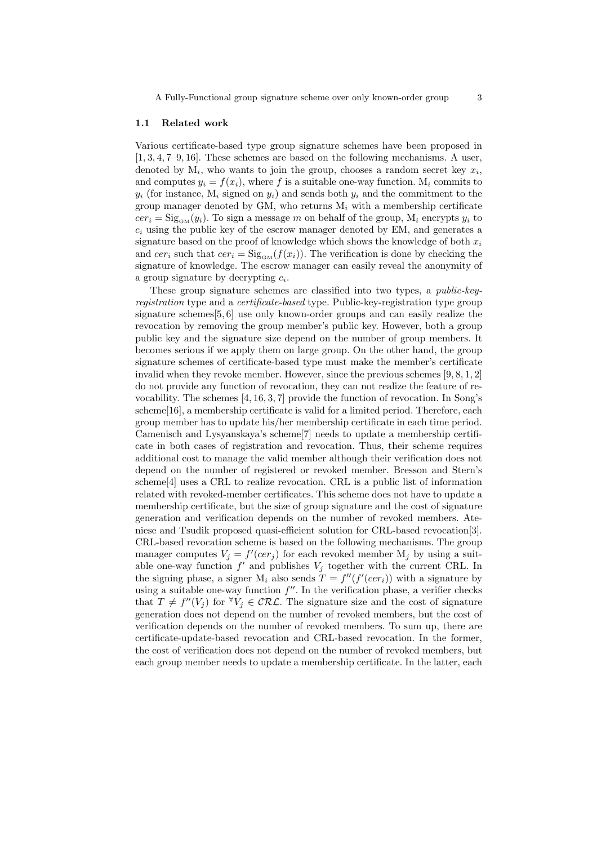#### 1.1 Related work

Various certificate-based type group signature schemes have been proposed in [1, 3, 4, 7–9, 16]. These schemes are based on the following mechanisms. A user, denoted by  $M_i$ , who wants to join the group, chooses a random secret key  $x_i$ , and computes  $y_i = f(x_i)$ , where f is a suitable one-way function.  $M_i$  commits to  $y_i$  (for instance,  $M_i$  signed on  $y_i$ ) and sends both  $y_i$  and the commitment to the group manager denoted by GM, who returns  $M_i$  with a membership certificate  $cer_i = Sig_{\text{CM}}(y_i)$ . To sign a message m on behalf of the group,  $M_i$  encrypts  $y_i$  to  $c_i$  using the public key of the escrow manager denoted by EM, and generates a signature based on the proof of knowledge which shows the knowledge of both  $x_i$ and  $cer_i$  such that  $cer_i = Sig_{GM}(f(x_i))$ . The verification is done by checking the signature of knowledge. The escrow manager can easily reveal the anonymity of a group signature by decrypting  $c_i$ .

These group signature schemes are classified into two types, a public-keyregistration type and a certificate-based type. Public-key-registration type group signature schemes[5, 6] use only known-order groups and can easily realize the revocation by removing the group member's public key. However, both a group public key and the signature size depend on the number of group members. It becomes serious if we apply them on large group. On the other hand, the group signature schemes of certificate-based type must make the member's certificate invalid when they revoke member. However, since the previous schemes  $[9, 8, 1, 2]$ do not provide any function of revocation, they can not realize the feature of revocability. The schemes [4, 16, 3, 7] provide the function of revocation. In Song's scheme[16], a membership certificate is valid for a limited period. Therefore, each group member has to update his/her membership certificate in each time period. Camenisch and Lysyanskaya's scheme[7] needs to update a membership certificate in both cases of registration and revocation. Thus, their scheme requires additional cost to manage the valid member although their verification does not depend on the number of registered or revoked member. Bresson and Stern's scheme[4] uses a CRL to realize revocation. CRL is a public list of information related with revoked-member certificates. This scheme does not have to update a membership certificate, but the size of group signature and the cost of signature generation and verification depends on the number of revoked members. Ateniese and Tsudik proposed quasi-efficient solution for CRL-based revocation[3]. CRL-based revocation scheme is based on the following mechanisms. The group manager computes  $V_j = f'(cer_j)$  for each revoked member  $M_j$  by using a suitable one-way function  $f'$  and publishes  $V_j$  together with the current CRL. In the signing phase, a signer M<sub>i</sub> also sends  $T = f''(f'(cer_i))$  with a signature by using a suitable one-way function  $f''$ . In the verification phase, a verifier checks that  $T \neq f''(V_j)$  for  $\forall V_j \in \mathcal{CRL}$ . The signature size and the cost of signature generation does not depend on the number of revoked members, but the cost of verification depends on the number of revoked members. To sum up, there are certificate-update-based revocation and CRL-based revocation. In the former, the cost of verification does not depend on the number of revoked members, but each group member needs to update a membership certificate. In the latter, each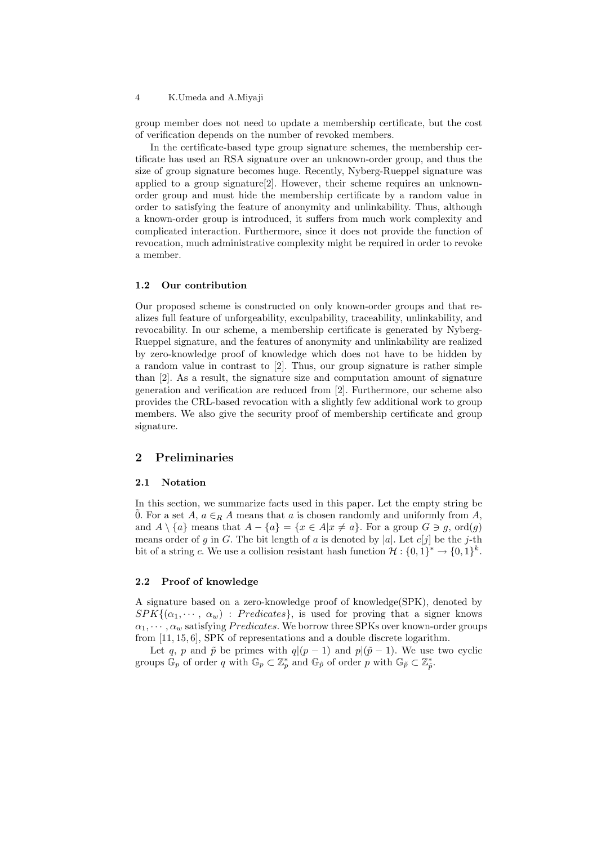group member does not need to update a membership certificate, but the cost of verification depends on the number of revoked members.

In the certificate-based type group signature schemes, the membership certificate has used an RSA signature over an unknown-order group, and thus the size of group signature becomes huge. Recently, Nyberg-Rueppel signature was applied to a group signature[2]. However, their scheme requires an unknownorder group and must hide the membership certificate by a random value in order to satisfying the feature of anonymity and unlinkability. Thus, although a known-order group is introduced, it suffers from much work complexity and complicated interaction. Furthermore, since it does not provide the function of revocation, much administrative complexity might be required in order to revoke a member.

#### 1.2 Our contribution

Our proposed scheme is constructed on only known-order groups and that realizes full feature of unforgeability, exculpability, traceability, unlinkability, and revocability. In our scheme, a membership certificate is generated by Nyberg-Rueppel signature, and the features of anonymity and unlinkability are realized by zero-knowledge proof of knowledge which does not have to be hidden by a random value in contrast to [2]. Thus, our group signature is rather simple than [2]. As a result, the signature size and computation amount of signature generation and verification are reduced from [2]. Furthermore, our scheme also provides the CRL-based revocation with a slightly few additional work to group members. We also give the security proof of membership certificate and group signature.

## 2 Preliminaries

#### 2.1 Notation

In this section, we summarize facts used in this paper. Let the empty string be 0. For a set A,  $a \in_R A$  means that a is chosen randomly and uniformly from A, and  $A \setminus \{a\}$  means that  $A - \{a\} = \{x \in A | x \neq a\}$ . For a group  $G \ni g$ , ord $(g)$ means order of g in G. The bit length of a is denoted by |a|. Let  $c[j]$  be the j-th bit of a string c. We use a collision resistant hash function  $\mathcal{H}: \{0,1\}^* \to \{0,1\}^k$ .

#### 2.2 Proof of knowledge

A signature based on a zero-knowledge proof of knowledge(SPK), denoted by  $SPK\{(\alpha_1, \dots, \alpha_w) : Predicates\}$ , is used for proving that a signer knows  $\alpha_1, \cdots, \alpha_w$  satisfying *Predicates*. We borrow three SPKs over known-order groups from [11, 15, 6], SPK of representations and a double discrete logarithm.

Let q, p and  $\tilde{p}$  be primes with  $q|(p-1)$  and  $p|(\tilde{p}-1)$ . We use two cyclic groups  $\mathbb{G}_p$  of order q with  $\mathbb{G}_p \subset \mathbb{Z}_p^*$  and  $\mathbb{G}_{\tilde{p}}$  of order p with  $\mathbb{G}_{\tilde{p}} \subset \mathbb{Z}_p^*$ .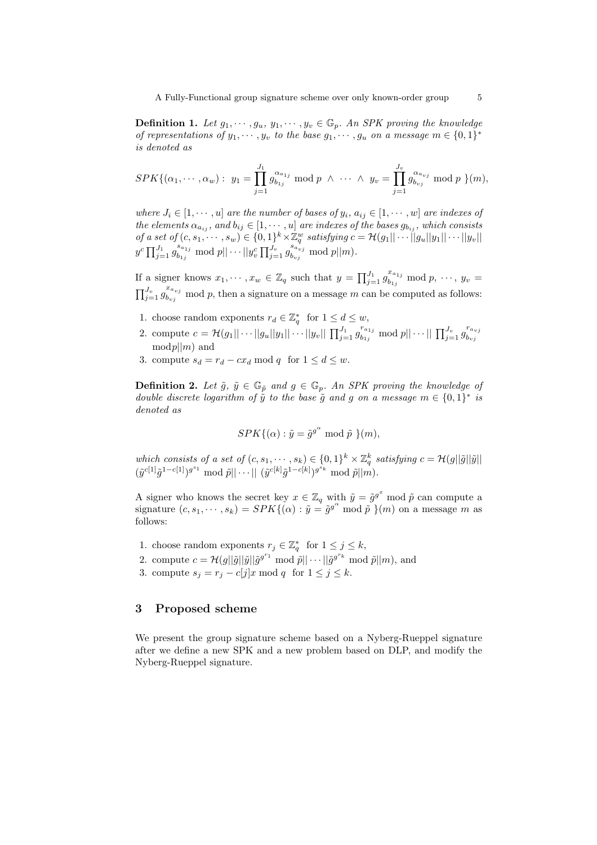**Definition 1.** Let  $g_1, \dots, g_u, y_1, \dots, y_v \in \mathbb{G}_p$ . An SPK proving the knowledge of representations of  $y_1, \dots, y_v$  to the base  $g_1, \dots, g_u$  on a message  $m \in \{0,1\}^*$ is denoted as

$$
SPK\{(\alpha_1,\dots,\alpha_w): y_1=\prod_{j=1}^{J_1} g_{b_{1j}}^{\alpha_{a_{1j}}} \bmod p \ \wedge \ \dots \ \wedge \ y_v=\prod_{j=1}^{J_v} g_{b_{vj}}^{\alpha_{a_{vj}}} \bmod p \ \}(m),
$$

where  $J_i \in [1, \dots, u]$  are the number of bases of  $y_i, a_{ij} \in [1, \dots, w]$  are indexes of the elements  $\alpha_{a_{ij}}$ , and  $b_{ij} \in [1, \cdots, u]$  are indexes of the bases  $g_{b_{ij}}$ , which consists of a set of  $(c, s_1, \dots, s_w) \in \{0, 1\}^k \times \mathbb{Z}_q^w$  satisfying  $c = \mathcal{H}(g_1 || \cdots ||g_u || y_1 || \cdots || y_v ||$  $y^c \prod_{j=1}^{J_1} g_{b_{1j}}^{s_{a_{1j}}} \bmod p ||\cdots ||y_v^c \prod_{j=1}^{J_v} g_{b_{vj}}^{s_{a_{vj}}} \bmod p ||m).$ 

If a signer knows  $x_1, \dots, x_w \in \mathbb{Z}_q$  such that  $y = \prod_{j=1}^{J_1} g_{b_{1j}}^{x_{a_{1j}}} \mod p, \dots, y_v =$  $\prod_{j=1}^{J_v} g_{b_{vj}}^{x_{a_{vj}}}$  mod p, then a signature on a message m can be computed as follows:

- 1. choose random exponents  $r_d \in \mathbb{Z}_q^*$  for  $1 \leq d \leq w$ ,
- 2. compute  $c = \mathcal{H}(g_1 || \cdots || g_u || g_1 || \cdots || g_v || \prod_{j=1}^{J_1} g_{b_{1j}}^{r_{a_{1j}}} \bmod p || \cdots || \prod_{j=1}^{J_v} g_{b_{vj}}^{r_{a_{vj}}}$  $b_{vj}$  $mod p \mid m$  and
- 3. compute  $s_d = r_d cx_d \mod q$  for  $1 \le d \le w$ .

**Definition 2.** Let  $\tilde{g}$ ,  $\tilde{y} \in \mathbb{G}_{\tilde{p}}$  and  $g \in \mathbb{G}_p$ . An SPK proving the knowledge of double discrete logarithm of  $\tilde{y}$  to the base  $\tilde{g}$  and g on a message  $m \in \{0,1\}^*$  is denoted as

$$
SPK{(\alpha) : \tilde{y} = \tilde{g}^{g^{\alpha}} \bmod \tilde{p}}\, \}(m),
$$

which consists of a set of  $(c, s_1, \dots, s_k) \in \{0,1\}^k \times \mathbb{Z}_q^k$  satisfying  $c = \mathcal{H}(g||\tilde{g}||\tilde{y}||)$  $(\tilde{y}^{c[1]}\tilde{g}^{1-c[1]})^{g^{s_1}} \bmod \tilde{p} || \cdots || (\tilde{y}^{c[k]}\tilde{g}^{1-c[k]})^{g^{s_k}} \bmod \tilde{p} || \tilde{m}).$ 

A signer who knows the secret key  $x \in \mathbb{Z}_q$  with  $\tilde{y} = \tilde{g}^{g^x}$  mod  $\tilde{p}$  can compute a signature  $(c, s_1, \dots, s_k) = SPK\{(\alpha) : \tilde{y} = \tilde{g}^{g^{\alpha}} \mod \tilde{p}\}(m)$  on a message m as follows:

- 1. choose random exponents  $r_j \in \mathbb{Z}_q^*$  for  $1 \leq j \leq k$ ,
- 2. compute  $c = \mathcal{H}(g||\tilde{g}||\tilde{g}||\tilde{g}^{g^{r_1}} \mod \tilde{p}|| \cdots ||\tilde{g}^{g^{r_k}} \mod \tilde{p}||m)$ , and
- 3. compute  $s_j = r_j c[j]x \mod q$  for  $1 \leq j \leq k$ .

## 3 Proposed scheme

We present the group signature scheme based on a Nyberg-Rueppel signature after we define a new SPK and a new problem based on DLP, and modify the Nyberg-Rueppel signature.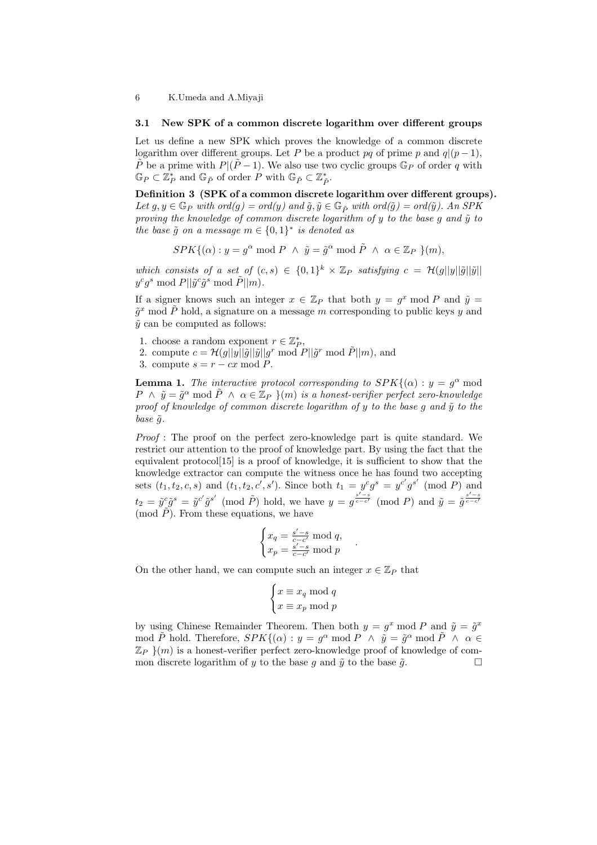#### 3.1 New SPK of a common discrete logarithm over different groups

Let us define a new SPK which proves the knowledge of a common discrete logarithm over different groups. Let P be a product pq of prime p and  $q|(p-1)$ ,  $\tilde{P}$  be a prime with  $P|(\tilde{P}-1)$ . We also use two cyclic groups  $\mathbb{G}_P$  of order q with  $\mathbb{G}_P \subset \mathbb{Z}_P^*$  and  $\mathbb{G}_{\tilde{P}}$  of order P with  $\mathbb{G}_{\tilde{P}} \subset \mathbb{Z}_{\tilde{P}}^*$ .

Definition 3 (SPK of a common discrete logarithm over different groups). Let  $g, y \in \mathbb{G}_P$  with  $ord(g) = ord(y)$  and  $\tilde{g}, \tilde{y} \in \mathbb{G}_{\tilde{P}}$  with  $ord(\tilde{g}) = ord(\tilde{y})$ . An SPK proving the knowledge of common discrete logarithm of  $y$  to the base  $q$  and  $\tilde{y}$  to the base  $\tilde{g}$  on a message  $m \in \{0,1\}^*$  is denoted as

$$
SPK\{(\alpha): y = g^{\alpha} \bmod P \ \land \ \tilde{y} = \tilde{g}^{\alpha} \bmod \tilde{P} \ \land \ \alpha \in \mathbb{Z}_P \ \}(m),
$$

which consists of a set of  $(c, s) \in \{0, 1\}^k \times \mathbb{Z}_P$  satisfying  $c = \mathcal{H}(g||y||\tilde{g}||\tilde{y}||)$  $y^cg^s \bmod P||\tilde{y}^c \tilde{g}^s \bmod \tilde{P}||m).$ 

If a signer knows such an integer  $x \in \mathbb{Z}_P$  that both  $y = g^x \mod P$  and  $\tilde{y} =$  $\tilde{g}^x$  mod  $\tilde{P}$  hold, a signature on a message m corresponding to public keys y and  $\tilde{y}$  can be computed as follows:

- 1. choose a random exponent  $r \in \mathbb{Z}_P^*$ ,
- 2. compute  $c = \mathcal{H}(g||\tilde{y}||\tilde{g}||\tilde{y}||g^r \bmod P||\tilde{g}^r \bmod \tilde{P}||m)$ , and
- 3. compute  $s = r cx \mod P$ .

**Lemma 1.** The interactive protocol corresponding to  $SPK(\alpha)$ :  $y = g^{\alpha}$  mod  $P \wedge \tilde{y} = \tilde{g}^{\alpha} \bmod{\tilde{P}} \wedge \alpha \in \mathbb{Z}_P$   $\}(m)$  is a honest-verifier perfect zero-knowledge proof of knowledge of common discrete logarithm of  $y$  to the base  $g$  and  $\tilde{y}$  to the base  $\tilde{q}$ .

Proof : The proof on the perfect zero-knowledge part is quite standard. We restrict our attention to the proof of knowledge part. By using the fact that the equivalent protocol $[15]$  is a proof of knowledge, it is sufficient to show that the knowledge extractor can compute the witness once he has found two accepting sets  $(t_1, t_2, c, s)$  and  $(t_1, t_2, c', s')$ . Since both  $t_1 = y^c g^s = y^{c'} g^{s'} \pmod{P}$  and  $t_2 = \tilde{y}^c \tilde{g}^s = \tilde{y}^{c'} \tilde{g}^{s'} \pmod{\tilde{P}}$  hold, we have  $y = g^{\frac{s'-s}{c-c'}} \pmod{P}$  and  $\tilde{y} = \tilde{g}^{\frac{s'-s}{c-c'}}$ (mod  $\tilde{P}$ ). From these equations, we have

$$
\begin{cases} x_q = \frac{s'-s}{c-c'} \bmod q, \\ x_p = \frac{s'-s}{c-c'} \bmod p \end{cases}
$$

.

On the other hand, we can compute such an integer  $x \in \mathbb{Z}_P$  that

$$
\begin{cases} x \equiv x_q \bmod q \\ x \equiv x_p \bmod p \end{cases}
$$

by using Chinese Remainder Theorem. Then both  $y = g^x \mod P$  and  $\tilde{y} = \tilde{g}^x$ mod  $\tilde{P}$  hold. Therefore,  $SPK{\{\alpha\}}: y = g^{\alpha} \text{ mod } P \wedge \tilde{y} = \tilde{g}^{\alpha} \text{ mod } \tilde{P} \wedge \alpha \in$  $\mathbb{Z}_P$   $\{m\}$  is a honest-verifier perfect zero-knowledge proof of knowledge of common discrete logarithm of y to the base q and  $\tilde{y}$  to the base  $\tilde{q}$ .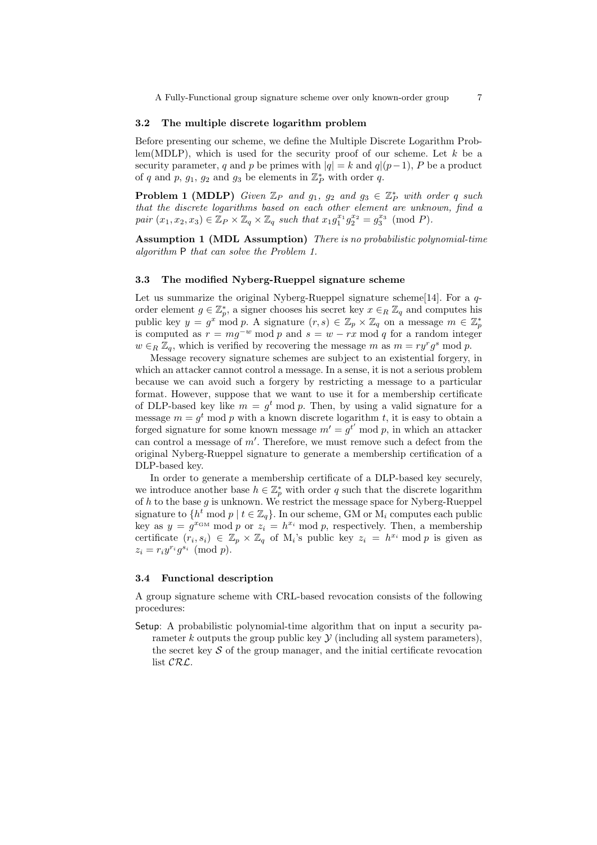#### 3.2 The multiple discrete logarithm problem

Before presenting our scheme, we define the Multiple Discrete Logarithm Problem(MDLP), which is used for the security proof of our scheme. Let  $k$  be a security parameter, q and p be primes with  $|q| = k$  and  $q|(p-1)$ , P be a product of q and p,  $g_1$ ,  $g_2$  and  $g_3$  be elements in  $\mathbb{Z}_P^*$  with order q.

**Problem 1 (MDLP)** Given  $\mathbb{Z}_P$  and  $g_1$ ,  $g_2$  and  $g_3 \in \mathbb{Z}_P^*$  with order q such that the discrete logarithms based on each other element are unknown, find a  $pair(x_1, x_2, x_3) \in \mathbb{Z}_P \times \mathbb{Z}_q \times \mathbb{Z}_q \text{ such that } x_1 g_1^{x_1} g_2^{x_2} = g_3^{x_3} \pmod{P}.$ 

Assumption 1 (MDL Assumption) There is no probabilistic polynomial-time algorithm P that can solve the Problem 1.

## 3.3 The modified Nyberg-Rueppel signature scheme

Let us summarize the original Nyberg-Rueppel signature scheme [14]. For a  $q$ order element  $g \in \mathbb{Z}_p^*$ , a signer chooses his secret key  $x \in_R \mathbb{Z}_q$  and computes his public key  $y = g^x \mod p$ . A signature  $(r, s) \in \mathbb{Z}_p \times \mathbb{Z}_q$  on a message  $m \in \mathbb{Z}_p^*$ is computed as  $r = mg^{-w} \mod p$  and  $s = w - rx \mod q$  for a random integer  $w \in_R \mathbb{Z}_q$ , which is verified by recovering the message m as  $m = ry^r g^s \mod p$ .

Message recovery signature schemes are subject to an existential forgery, in which an attacker cannot control a message. In a sense, it is not a serious problem because we can avoid such a forgery by restricting a message to a particular format. However, suppose that we want to use it for a membership certificate of DLP-based key like  $m = g^t \mod p$ . Then, by using a valid signature for a message  $m = g^t \mod p$  with a known discrete logarithm t, it is easy to obtain a forged signature for some known message  $m' = g^{t'} \mod p$ , in which an attacker can control a message of  $m'$ . Therefore, we must remove such a defect from the original Nyberg-Rueppel signature to generate a membership certification of a DLP-based key.

In order to generate a membership certificate of a DLP-based key securely, we introduce another base  $h \in \mathbb{Z}_p^*$  with order q such that the discrete logarithm of h to the base  $g$  is unknown. We restrict the message space for Nyberg-Rueppel signature to  $\{h^t \mod p \mid t \in \mathbb{Z}_q\}$ . In our scheme, GM or  $M_i$  computes each public key as  $y = g^{x_{\text{GM}}} \mod p$  or  $z_i = h^{x_i} \mod p$ , respectively. Then, a membership certificate  $(r_i, s_i) \in \mathbb{Z}_p \times \mathbb{Z}_q$  of M<sub>i</sub>'s public key  $z_i = h^{x_i} \mod p$  is given as  $z_i = r_i y^{r_i} g^{s_i} \pmod{p}.$ 

## 3.4 Functional description

A group signature scheme with CRL-based revocation consists of the following procedures:

Setup: A probabilistic polynomial-time algorithm that on input a security parameter k outputs the group public key  $\mathcal Y$  (including all system parameters), the secret key  $\mathcal S$  of the group manager, and the initial certificate revocation list CRL.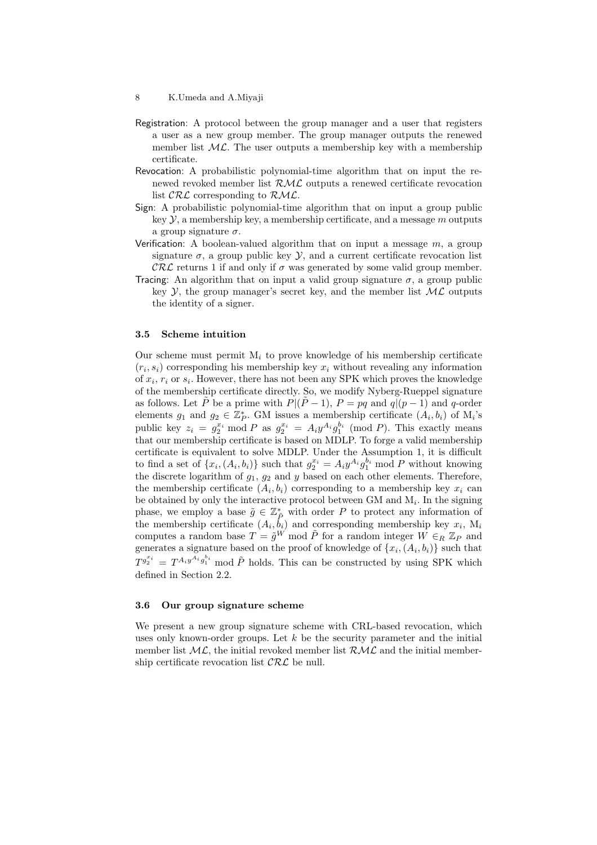- Registration: A protocol between the group manager and a user that registers a user as a new group member. The group manager outputs the renewed member list  $ML$ . The user outputs a membership key with a membership certificate.
- Revocation: A probabilistic polynomial-time algorithm that on input the renewed revoked member list  $\mathcal{RML}$  outputs a renewed certificate revocation list  $\mathcal{CRL}$  corresponding to  $\mathcal{RML}$ .
- Sign: A probabilistic polynomial-time algorithm that on input a group public key  $\mathcal{Y}$ , a membership key, a membership certificate, and a message m outputs a group signature  $\sigma$ .
- Verification: A boolean-valued algorithm that on input a message  $m$ , a group signature  $\sigma$ , a group public key  $\mathcal{Y}$ , and a current certificate revocation list  $\mathcal{CRL}$  returns 1 if and only if  $\sigma$  was generated by some valid group member.
- Tracing: An algorithm that on input a valid group signature  $\sigma$ , a group public key Y, the group manager's secret key, and the member list  $ML$  outputs the identity of a signer.

#### 3.5 Scheme intuition

Our scheme must permit  $M_i$  to prove knowledge of his membership certificate  $(r_i, s_i)$  corresponding his membership key  $x_i$  without revealing any information of  $x_i$ ,  $r_i$  or  $s_i$ . However, there has not been any SPK which proves the knowledge of the membership certificate directly. So, we modify Nyberg-Rueppel signature as follows. Let  $\tilde{P}$  be a prime with  $P|(\tilde{P}-1), P = pq$  and  $q|(p-1)$  and q-order elements  $g_1$  and  $g_2 \in \mathbb{Z}_P^*$ . GM issues a membership certificate  $(A_i, b_i)$  of  $M_i$ 's been ends  $y_1$  and  $y_2 \in \mathbb{Z}_p$ . GM issues a membership certificate  $(A_i, o_i)$  or  $M_i$  is public key  $z_i = g_2^{x_i} \mod P$  as  $g_2^{x_i} = A_i y^{A_i} g_1^{b_i} \pmod{P}$ . This exactly means that our membership certificate is based on MDLP. To forge a valid membership certificate is equivalent to solve MDLP. Under the Assumption 1, it is difficult to find a set of  $\{x_i, (A_i, b_i)\}\$  such that  $g_2^{x_i} = A_i y^{A_i} g_1^{b_i} \text{ mod } P$  without knowing the discrete logarithm of  $g_1, g_2$  and y based on each other elements. Therefore, the membership certificate  $(A_i, b_i)$  corresponding to a membership key  $x_i$  can be obtained by only the interactive protocol between  $GM$  and  $M_i$ . In the signing phase, we employ a base  $\tilde{g} \in \mathbb{Z}_{\tilde{P}}^*$  with order P to protect any information of the membership certificate  $(A_i, \dot{b}_i)$  and corresponding membership key  $x_i$ ,  $M_i$ computes a random base  $T = \tilde{g}^W$  mod  $\tilde{P}$  for a random integer  $W \in_R \mathbb{Z}_P$  and generates a signature based on the proof of knowledge of  $\{x_i, (A_i, b_i)\}\)$  such that  $T^{g_2^{x_i}} = T^{A_i g_1^{A_i} g_1^{b_i}}$  mod  $\tilde{P}$  holds. This can be constructed by using SPK which defined in Section 2.2.

#### 3.6 Our group signature scheme

We present a new group signature scheme with CRL-based revocation, which uses only known-order groups. Let  $k$  be the security parameter and the initial member list  $ML$ , the initial revoked member list  $RML$  and the initial membership certificate revocation list  $\mathcal{CRL}$  be null.

<sup>8</sup> K.Umeda and A.Miyaji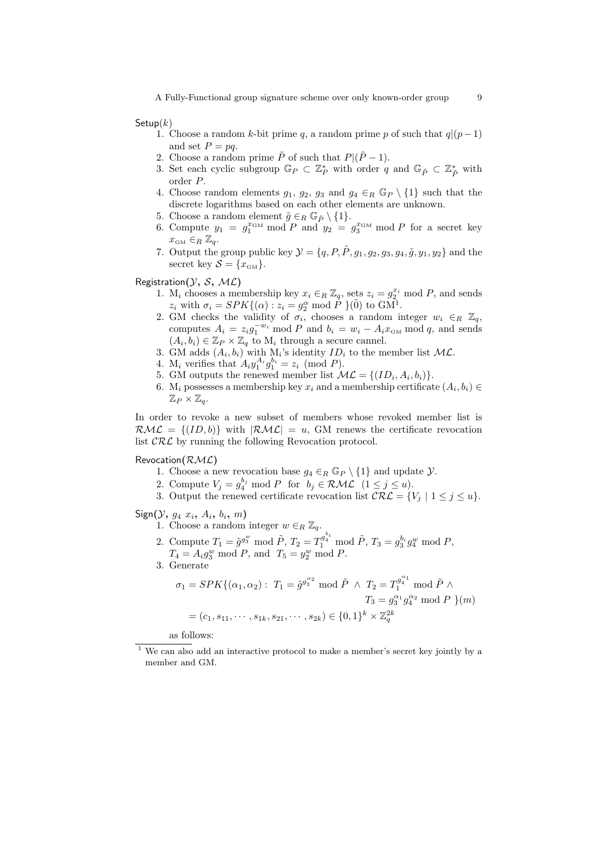Setup $(k)$ 

- 1. Choose a random k-bit prime q, a random prime p of such that  $q|(p-1)$ and set  $P = pq$ .
- 2. Choose a random prime  $\tilde{P}$  of such that  $P|(\tilde{P}-1)$ .
- 3. Set each cyclic subgroup  $\mathbb{G}_P \subset \mathbb{Z}_P^*$  with order q and  $\mathbb{G}_{\tilde{P}} \subset \mathbb{Z}_{\tilde{P}}^*$  with order P.
- 4. Choose random elements  $g_1, g_2, g_3$  and  $g_4 \in_R \mathbb{G}_P \setminus \{1\}$  such that the discrete logarithms based on each other elements are unknown.
- 5. Choose a random element  $\tilde{g} \in_R \mathbb{G}_{\tilde{P}} \setminus \{1\}.$
- 6. Compute  $y_1 = g_1^{x_{\text{GM}}} \mod P$  and  $y_2 = g_3^{x_{\text{GM}}} \mod P$  for a secret key  $x_{\text{GM}} \in_R \mathbb{Z}_q$ .
- 7. Output the group public key  $\mathcal{Y} = \{q, P, \tilde{P}, g_1, g_2, g_3, g_4, \tilde{g}, y_1, y_2\}$  and the secret key  $S = \{x_{\text{GM}}\}.$

Registration $(\mathcal{Y}, \, \mathcal{S}, \, \mathcal{ML})$ 

- 1. M<sub>i</sub> chooses a membership key  $x_i \in_R \mathbb{Z}_q$ , sets  $z_i = g_2^{x_i} \mod P$ , and sends  $z_i$  with  $\sigma_i = SPK\{(\alpha) : z_i = g_2^{\alpha} \bmod P\}(\tilde{0})$  to  $GM^{\tilde{1}}$ .
- 2. GM checks the validity of  $\sigma_i$ , chooses a random integer  $w_i \in_R \mathbb{Z}_q$ , computes  $A_i = z_i g_1^{-w_i} \mod P$  and  $b_i = w_i - A_i x_{\text{GM}} \mod q$ , and sends  $(A_i, b_i) \in \mathbb{Z}_P \times \mathbb{Z}_q$  to  $M_i$  through a secure cannel.
- 3. GM adds  $(A_i, b_i)$  with  $M_i$ 's identity  $ID_i$  to the member list  $ML$ .
- 4.  $M_i$  verifies that  $A_i y_1^{A_i} g_1^{b_i} = z_i \pmod{P}$ .
- 5. GM outputs the renewed member list  $\mathcal{ML} = \{ (ID_i, A_i, b_i) \}.$
- 6. M<sub>i</sub> possesses a membership key  $x_i$  and a membership certificate  $(A_i, b_i) \in$  $\mathbb{Z}_P\times\mathbb{Z}_q$ .

In order to revoke a new subset of members whose revoked member list is  $\mathcal{RML} = \{(ID, b)\}\$  with  $|\mathcal{RML}| = u$ , GM renews the certificate revocation list  $\mathcal{CRL}$  by running the following Revocation protocol.

Revocation $(\mathcal{RML})$ 

- 1. Choose a new revocation base  $g_4 \in_R \mathbb{G}_P \setminus \{1\}$  and update  $\mathcal{Y}$ .
- 2. Compute  $V_j = g_4^{b_j} \text{ mod } P$  for  $b_j \in \mathcal{RML}$   $(1 \leq j \leq u)$ .
- 3. Output the renewed certificate revocation list  $\mathcal{CRL} = \{V_j \mid 1 \leq j \leq u\}.$

 $Sign(\mathcal{Y}, g_4 | x_i, A_i, b_i, m)$ 

1. Choose a random integer  $w \in_R \mathbb{Z}_q$ .

- 2. Compute  $T_1 = \tilde{g}^{g_3^w} \mod \tilde{P}, T_2 = T_1^{g_4^{b_i}} \mod \tilde{P}, T_3 = g_3^{b_i} g_4^w \mod P,$  $T_4 = A_i g_3^w \text{ mod } P, \text{ and } T_5 = y_2^w \text{ mod } P.$
- 3. Generate

$$
\sigma_1 = SPK\{(\alpha_1, \alpha_2) : T_1 = \tilde{g}^{g_3^{02}} \mod \tilde{P} \land T_2 = T_1^{g_4^{01}} \mod \tilde{P} \land
$$
  

$$
T_3 = g_3^{01} g_4^{02} \mod P \} (m)
$$
  

$$
= (c_1, s_{11}, \cdots, s_{1k}, s_{21}, \cdots, s_{2k}) \in \{0, 1\}^k \times \mathbb{Z}_q^{2k}
$$

as follows:

<sup>1</sup> We can also add an interactive protocol to make a member's secret key jointly by a member and GM.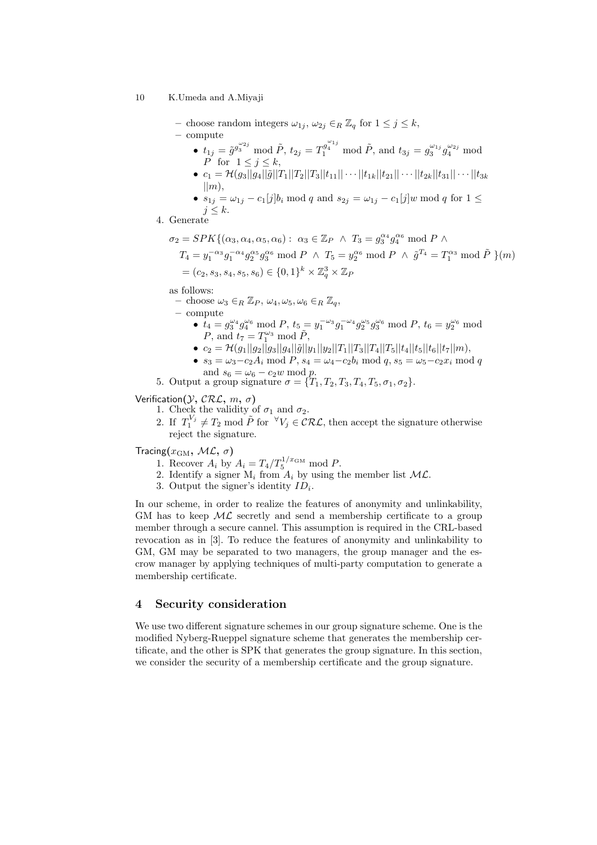- choose random integers  $\omega_{1j}$ ,  $\omega_{2j} \in_R \mathbb{Z}_q$  for  $1 \leq j \leq k$ ,
- compute
	- $t_{1j} = \tilde{g}^{g_3^{\omega_{2j}}} \mod \tilde{P}, t_{2j} = T_1^{g_4^{\omega_{1j}}} \mod \tilde{P}, \text{ and } t_{3j} = g_3^{\omega_{1j}} g_4^{\omega_{2j}} \mod$  $\overrightarrow{P}$  for  $1 \leq j \leq k$ ,
	- $c_1 = \mathcal{H}(g_3||g_4||\tilde{g}||T_1||T_2||T_3||t_{11}|| \cdots ||t_{1k}||t_{21}|| \cdots ||t_{2k}||t_{31}|| \cdots ||t_{3k}||t_{3k}$  $\vert \vert m\rangle$ ,
	- $s_{1j} = \omega_{1j} c_1[j]b_i \text{ mod } q$  and  $s_{2j} = \omega_{1j} c_1[j]w \text{ mod } q$  for  $1 \leq j$  $j \leq k$ .
- 4. Generate

$$
\sigma_2 = SPK\{(\alpha_3, \alpha_4, \alpha_5, \alpha_6) : \alpha_3 \in \mathbb{Z}_P \land T_3 = g_3^{\alpha_4} g_4^{\alpha_6} \mod P \land
$$
  
\n
$$
T_4 = y_1^{-\alpha_3} g_1^{-\alpha_4} g_2^{\alpha_5} g_3^{\alpha_6} \mod P \land T_5 = y_2^{\alpha_6} \mod P \land \tilde{g}^{T_4} = T_1^{\alpha_3} \mod \tilde{P} \}(m)
$$
  
\n
$$
= (c_2, s_3, s_4, s_5, s_6) \in \{0, 1\}^k \times \mathbb{Z}_q^3 \times \mathbb{Z}_P
$$

as follows:

- choose  $\omega_3 \in_R \mathbb{Z}_P$ ,  $\omega_4, \omega_5, \omega_6 \in_R \mathbb{Z}_q$ ,
- compute •  $t_4 = g_3^{\omega_4} g_4^{\omega_6} \mod P$ ,  $t_5 = y_1^{-\omega_3} g_1^{-\omega_4} g_2^{\omega_5} g_3^{\omega_6} \mod P$ ,  $t_6 = y_2^{\omega_6} \mod P$ P, and  $t_7 = T_1^{\omega_3} \text{ mod } \tilde{P}$ ,
	- $c_2 = \mathcal{H}(g_1||g_2||g_3||g_4||\tilde{g}||y_1||y_2||T_1||T_3||T_4||T_5||t_4||t_5||t_6||t_7||m),$
	- $s_3 = \omega_3 c_2 A_i \mod P, s_4 = \omega_4 c_2 b_i \mod q, s_5 = \omega_5 c_2 x_i \mod q$ and  $s_6 = \omega_6 - c_2w \mod p$ .
- 5. Output a group signature  $\sigma = \{T_1, T_2, T_3, T_4, T_5, \sigma_1, \sigma_2\}.$

Verification $(\mathcal{Y}, \mathcal{CRL}, m, \sigma)$ 

- 1. Check the validity of  $\sigma_1$  and  $\sigma_2$ .
- 2. If  $T_1^{V_j} \neq T_2 \mod \tilde{P}$  for  $\forall V_j \in \mathcal{CRL}$ , then accept the signature otherwise reject the signature.

Tracing $(x_{\text{GM}}, \, \mathcal{ML}, \, \sigma)$ 

- 1. Recover  $A_i$  by  $A_i = T_4/T_5^{1/x_{\text{GM}}} \text{ mod } P$ .
- 2. Identify a signer  $M_i$  from  $A_i$  by using the member list  $ML$ .
- 3. Output the signer's identity  $ID_i$ .

In our scheme, in order to realize the features of anonymity and unlinkability, GM has to keep  $ML$  secretly and send a membership certificate to a group member through a secure cannel. This assumption is required in the CRL-based revocation as in [3]. To reduce the features of anonymity and unlinkability to GM, GM may be separated to two managers, the group manager and the escrow manager by applying techniques of multi-party computation to generate a membership certificate.

## 4 Security consideration

We use two different signature schemes in our group signature scheme. One is the modified Nyberg-Rueppel signature scheme that generates the membership certificate, and the other is SPK that generates the group signature. In this section, we consider the security of a membership certificate and the group signature.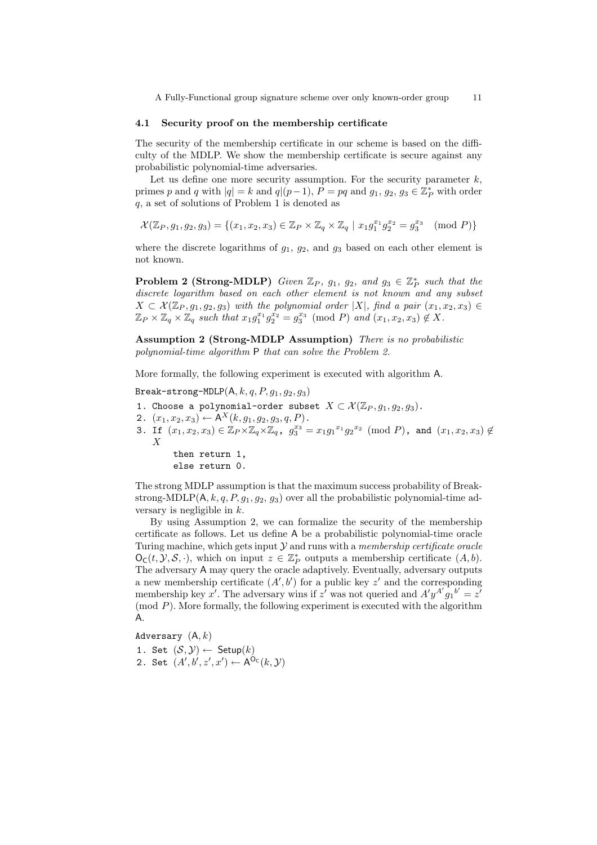#### 4.1 Security proof on the membership certificate

The security of the membership certificate in our scheme is based on the difficulty of the MDLP. We show the membership certificate is secure against any probabilistic polynomial-time adversaries.

Let us define one more security assumption. For the security parameter  $k$ , primes p and q with  $|q| = k$  and  $q|(p-1)$ ,  $P = pq$  and  $g_1, g_2, g_3 \in \mathbb{Z}_P^*$  with order q, a set of solutions of Problem 1 is denoted as

$$
\mathcal{X}(\mathbb{Z}_P, g_1, g_2, g_3) = \{(x_1, x_2, x_3) \in \mathbb{Z}_P \times \mathbb{Z}_q \times \mathbb{Z}_q \mid x_1 g_1^{x_1} g_2^{x_2} = g_3^{x_3} \pmod{P}\}
$$

where the discrete logarithms of  $g_1$ ,  $g_2$ , and  $g_3$  based on each other element is not known.

**Problem 2 (Strong-MDLP)** Given  $\mathbb{Z}_P$ ,  $g_1$ ,  $g_2$ , and  $g_3 \in \mathbb{Z}_P^*$  such that the discrete logarithm based on each other element is not known and any subset  $X \subset \mathcal{X}(\mathbb{Z}_P, g_1, g_2, g_3)$  with the polynomial order |X|, find a pair  $(x_1, x_2, x_3) \in$  $\mathbb{Z}_P\times\mathbb{Z}_q\times\mathbb{Z}_q$  such that  $x_1g_1^{x_1}g_2^{x_2}=g_3^{x_3}\pmod{P}$  and  $(x_1,x_2,x_3)\notin X$ .

Assumption 2 (Strong-MDLP Assumption) There is no probabilistic polynomial-time algorithm P that can solve the Problem 2.

More formally, the following experiment is executed with algorithm A.

Break-strong-MDLP $(A, k, q, P, g_1, g_2, g_3)$ 

- 1. Choose a polynomial-order subset  $X \subset \mathcal{X}(\mathbb{Z}_P, q_1, q_2, q_3)$ .
- 2.  $(x_1, x_2, x_3) \leftarrow A^X(k, g_1, g_2, g_3, q, P)$ .
- $\mathtt{3. \; If} \;\; (x_1,x_2,x_3) \in \mathbb{Z}_P \times \mathbb{Z}_q \times \mathbb{Z}_q, \;\; g_3^{x_3} = x_1 g_1{}^{x_1} g_2{}^{x_2} \;\; (\text{mod } P)$ , and  $(x_1,x_2,x_3) \not\in \mathbb{Z}_q$ X

then return 1, else return 0.

The strong MDLP assumption is that the maximum success probability of Breakstrong-MDLP( $A, k, q, P, g_1, g_2, g_3$ ) over all the probabilistic polynomial-time adversary is negligible in  $k$ .

By using Assumption 2, we can formalize the security of the membership certificate as follows. Let us define A be a probabilistic polynomial-time oracle Turing machine, which gets input  $Y$  and runs with a *membership certificate oracle*  $\mathsf{O}_{\mathsf{C}}(t, \mathcal{Y}, \mathcal{S}, \cdot)$ , which on input  $z \in \mathbb{Z}_P^*$  outputs a membership certificate  $(A, b)$ . The adversary A may query the oracle adaptively. Eventually, adversary outputs a new membership certificate  $(A', b')$  for a public key z' and the corresponding membership key x'. The adversary wins if z' was not queried and  $A'y^{A'}g_1^{b'} = z'$ (mod  $P$ ). More formally, the following experiment is executed with the algorithm A.

Adversary  $(A, k)$ 

1. Set  $(S, Y) \leftarrow$  Setup $(k)$ 

2. Set  $(A', b', z', x') \leftarrow A^{O_C}(k, \mathcal{Y})$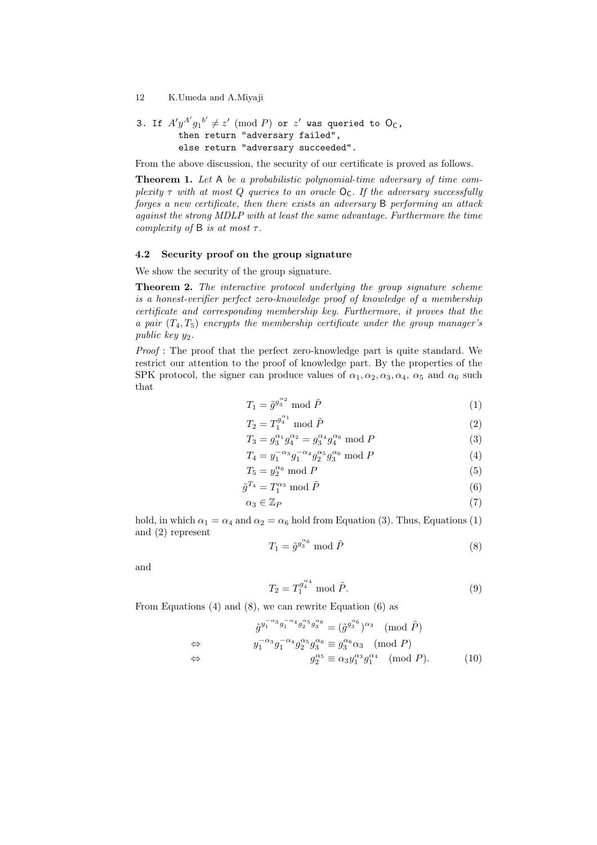3. If 
$$
A'y^{A'}g_1^{b'} \neq z'
$$
 (mod P) or  $z'$  was queried to  $O_C$ , then return "adversary failed", else return "adversary succeeded".

From the above discussion, the security of our certificate is proved as follows.

Theorem 1. Let A be a probabilistic polynomial-time adversary of time complexity  $\tau$  with at most Q queries to an oracle  $O_C$ . If the adversary successfully forges a new certificate, then there exists an adversary B performing an attack against the strong MDLP with at least the same advantage. Furthermore the time complexity of B is at most  $\tau$ .

#### 4.2 Security proof on the group signature

We show the security of the group signature.

Theorem 2. The interactive protocol underlying the group signature scheme is a honest-verifier perfect zero-knowledge proof of knowledge of a membership certificate and corresponding membership key. Furthermore, it proves that the a pair  $(T_4, T_5)$  encrypts the membership certificate under the group manager's public key  $y_2$ .

Proof : The proof that the perfect zero-knowledge part is quite standard. We restrict our attention to the proof of knowledge part. By the properties of the SPK protocol, the signer can produce values of  $\alpha_1, \alpha_2, \alpha_3, \alpha_4, \alpha_5$  and  $\alpha_6$  such that

$$
T_1 = \tilde{g}^{g_3^{\alpha_2}} \bmod \tilde{P}
$$
 (1)

$$
T_2 = T_1^{g_1^{\alpha_1}} \bmod \tilde{P}
$$
 (2)

$$
T_3 = g_3^{\alpha_1} g_4^{\alpha_2} = g_3^{\alpha_4} g_4^{\alpha_6} \text{ mod } P
$$
 (3)

$$
T_4 = y_1^{-\alpha_3} g_1^{-\alpha_4} g_2^{\alpha_5} g_3^{\alpha_6} \text{ mod } P \tag{4}
$$

$$
T_5 = y_2^{\alpha_6} \bmod P \tag{5}
$$

$$
\tilde{g}^{T_4} = T_1^{\alpha_3} \bmod \tilde{P}
$$
\n<sup>(6)</sup>

$$
\alpha_3 \in \mathbb{Z}_P \tag{7}
$$

hold, in which  $\alpha_1 = \alpha_4$  and  $\alpha_2 = \alpha_6$  hold from Equation (3). Thus, Equations (1) and (2) represent

$$
T_1 = \tilde{g}^{g_3^{\alpha_6}} \bmod \tilde{P}
$$
 (8)

and

$$
T_2 = T_1^{g_4^{\alpha_4}} \bmod \tilde{P}.
$$
 (9)

From Equations (4) and (8), we can rewrite Equation (6) as

$$
\tilde{g}^{y_1^{-\alpha_3}g_1^{-\alpha_4}g_2^{\alpha_5}g_3^{\alpha_6}} = (\tilde{g}^{g_3^{\alpha_6}})^{\alpha_3} \pmod{\tilde{P}}
$$
  
\n
$$
\Leftrightarrow \qquad y_1^{-\alpha_3}g_1^{-\alpha_4}g_2^{\alpha_5}g_3^{\alpha_6} \equiv g_3^{\alpha_6}\alpha_3 \pmod{P}
$$
  
\n
$$
\Leftrightarrow \qquad g_2^{\alpha_5} \equiv \alpha_3 y_1^{\alpha_3}g_1^{\alpha_4} \pmod{P}. \qquad (10)
$$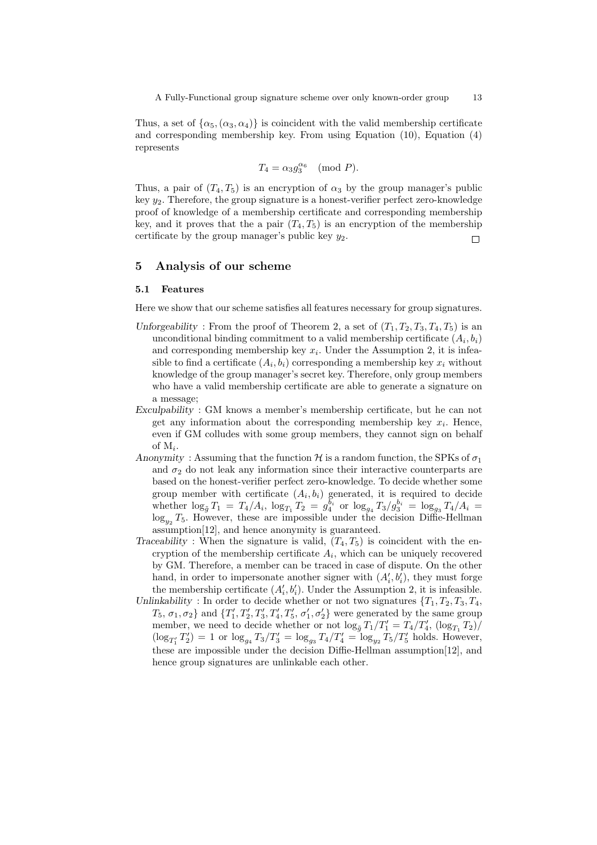Thus, a set of  $\{\alpha_5, (\alpha_3, \alpha_4)\}\$ is coincident with the valid membership certificate and corresponding membership key. From using Equation (10), Equation (4) represents

$$
T_4 = \alpha_3 g_3^{\alpha_6} \pmod{P}.
$$

Thus, a pair of  $(T_4, T_5)$  is an encryption of  $\alpha_3$  by the group manager's public key  $y_2$ . Therefore, the group signature is a honest-verifier perfect zero-knowledge proof of knowledge of a membership certificate and corresponding membership key, and it proves that the a pair  $(T_4, T_5)$  is an encryption of the membership certificate by the group manager's public key  $y_2$ .  $\Box$ 

## 5 Analysis of our scheme

#### 5.1 Features

Here we show that our scheme satisfies all features necessary for group signatures.

- Unforgeability: From the proof of Theorem 2, a set of  $(T_1, T_2, T_3, T_4, T_5)$  is an unconditional binding commitment to a valid membership certificate  $(A_i, b_i)$ and corresponding membership key  $x_i$ . Under the Assumption 2, it is infeasible to find a certificate  $(A_i, b_i)$  corresponding a membership key  $x_i$  without knowledge of the group manager's secret key. Therefore, only group members who have a valid membership certificate are able to generate a signature on a message;
- Exculpability : GM knows a member's membership certificate, but he can not get any information about the corresponding membership key  $x_i$ . Hence, even if GM colludes with some group members, they cannot sign on behalf of  $M_i$ .
- Anonymity: Assuming that the function H is a random function, the SPKs of  $\sigma_1$ and  $\sigma_2$  do not leak any information since their interactive counterparts are based on the honest-verifier perfect zero-knowledge. To decide whether some group member with certificate  $(A_i, b_i)$  generated, it is required to decide whether  $\log_{\tilde{g}} T_1 = T_4/A_i$ ,  $\log_{T_1} T_2 = g_4^{\tilde{b}_i}$  or  $\log_{g_4} T_3/g_3^{\tilde{b}_i} = \log_{g_3} T_4/A_i =$  $\log_{y_2} T_5$ . However, these are impossible under the decision Diffie-Hellman assumption[12], and hence anonymity is guaranteed.
- Traceability : When the signature is valid,  $(T_4, T_5)$  is coincident with the encryption of the membership certificate  $A_i$ , which can be uniquely recovered by GM. Therefore, a member can be traced in case of dispute. On the other hand, in order to impersonate another signer with  $(A'_i, b'_i)$ , they must forge the membership certificate  $(A'_i, b'_i)$ . Under the Assumption 2, it is infeasible.

Unlinkability : In order to decide whether or not two signatures  $\{T_1, T_2, T_3, T_4,$  $T_5$ ,  $\sigma_1$ ,  $\sigma_2$ } and  $\{T'_1, T'_2, T'_3, T'_4, T'_5, \sigma'_1, \sigma'_2\}$  were generated by the same group member, we need to decide whether or not  $\log_{\tilde{g}} T_1/T_1' = T_4/T_4', \, (\log_{T_1} T_2) / T_4'$  $(\log_{T'_1} T'_2) = 1$  or  $\log_{g_4} T_3/T'_3 = \log_{g_3} T_4/T'_4 = \log_{y_2} T_5/T'_5$  holds. However, these are impossible under the decision Diffie-Hellman assumption[12], and hence group signatures are unlinkable each other.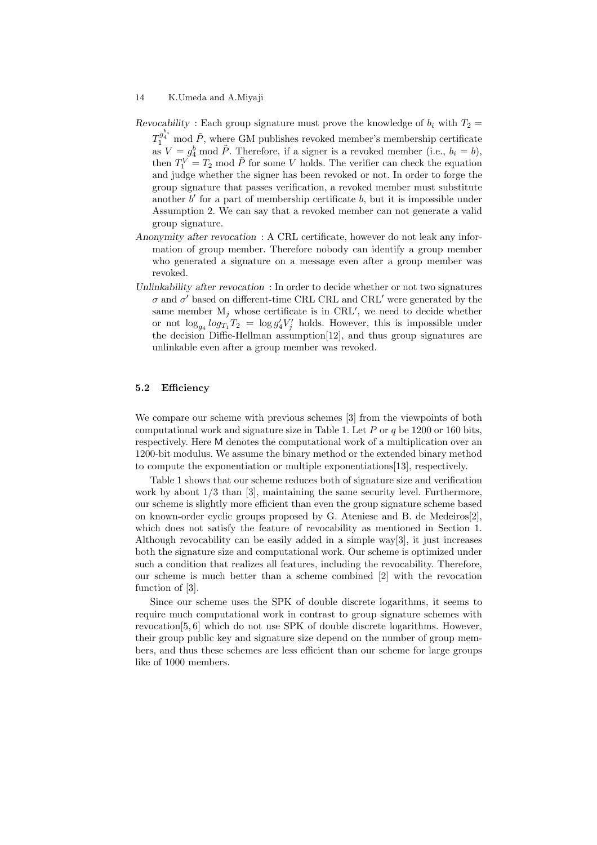- Revocability : Each group signature must prove the knowledge of  $b_i$  with  $T_2 =$  $T_1^{\mathcal{g}^{b_i}}$  mod  $\tilde{P},$  where GM publishes revoked member's membership certificate as  $V = g_4^b$  mod  $\tilde{P}$ . Therefore, if a signer is a revoked member (i.e.,  $b_i = b$ ), then  $T_1^V = T_2$  mod  $\tilde{P}$  for some V holds. The verifier can check the equation and judge whether the signer has been revoked or not. In order to forge the group signature that passes verification, a revoked member must substitute another  $b'$  for a part of membership certificate  $b$ , but it is impossible under Assumption 2. We can say that a revoked member can not generate a valid group signature.
- Anonymity after revocation : A CRL certificate, however do not leak any information of group member. Therefore nobody can identify a group member who generated a signature on a message even after a group member was revoked.
- Unlinkability after revocation: In order to decide whether or not two signatures  $\sigma$  and  $\sigma'$  based on different-time CRL CRL and CRL' were generated by the same member  $M_j$  whose certificate is in CRL', we need to decide whether or not  $\log_{g_4} \log_{T_1} T_2 = \log g_4' V_j'$  holds. However, this is impossible under the decision Diffie-Hellman assumption[12], and thus group signatures are unlinkable even after a group member was revoked.

## 5.2 Efficiency

We compare our scheme with previous schemes [3] from the viewpoints of both computational work and signature size in Table 1. Let  $P$  or  $q$  be 1200 or 160 bits, respectively. Here M denotes the computational work of a multiplication over an 1200-bit modulus. We assume the binary method or the extended binary method to compute the exponentiation or multiple exponentiations[13], respectively.

Table 1 shows that our scheme reduces both of signature size and verification work by about 1/3 than [3], maintaining the same security level. Furthermore, our scheme is slightly more efficient than even the group signature scheme based on known-order cyclic groups proposed by G. Ateniese and B. de Medeiros[2], which does not satisfy the feature of revocability as mentioned in Section 1. Although revocability can be easily added in a simple way[3], it just increases both the signature size and computational work. Our scheme is optimized under such a condition that realizes all features, including the revocability. Therefore, our scheme is much better than a scheme combined [2] with the revocation function of [3].

Since our scheme uses the SPK of double discrete logarithms, it seems to require much computational work in contrast to group signature schemes with revocation[5, 6] which do not use SPK of double discrete logarithms. However, their group public key and signature size depend on the number of group members, and thus these schemes are less efficient than our scheme for large groups like of 1000 members.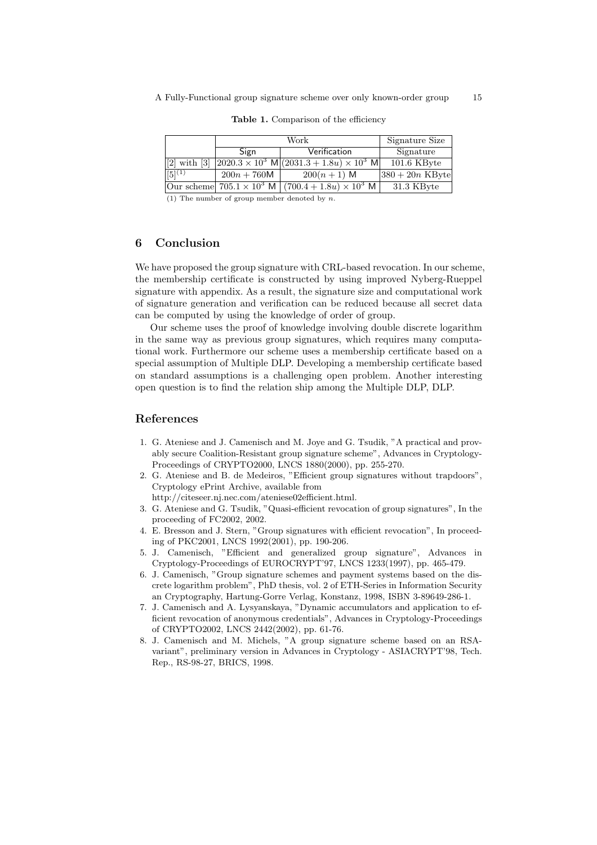|             |               | Signature Size                                                                                             |                    |
|-------------|---------------|------------------------------------------------------------------------------------------------------------|--------------------|
|             | Sign          | Verification                                                                                               | Signature          |
|             |               | [2] with [3] $\left  2020.3 \times 10^{3} \right  M \left  (2031.3 + 1.8u) \times 10^{3} \right  M \left $ | $101.6$ KByte      |
| $[5]^{(1)}$ | $200n + 760M$ | $200(n + 1)$ M                                                                                             | $ 380 + 20n$ KByte |
|             |               | Our scheme $705.1 \times 10^3$ M $(700.4 + 1.8u) \times 10^3$ M                                            | 31.3 KByte         |

Table 1. Comparison of the efficiency

(1) The number of group member denoted by  $n$ .

## 6 Conclusion

We have proposed the group signature with CRL-based revocation. In our scheme, the membership certificate is constructed by using improved Nyberg-Rueppel signature with appendix. As a result, the signature size and computational work of signature generation and verification can be reduced because all secret data can be computed by using the knowledge of order of group.

Our scheme uses the proof of knowledge involving double discrete logarithm in the same way as previous group signatures, which requires many computational work. Furthermore our scheme uses a membership certificate based on a special assumption of Multiple DLP. Developing a membership certificate based on standard assumptions is a challenging open problem. Another interesting open question is to find the relation ship among the Multiple DLP, DLP.

## References

- 1. G. Ateniese and J. Camenisch and M. Joye and G. Tsudik, "A practical and provably secure Coalition-Resistant group signature scheme", Advances in Cryptology-Proceedings of CRYPTO2000, LNCS 1880(2000), pp. 255-270.
- 2. G. Ateniese and B. de Medeiros, "Efficient group signatures without trapdoors", Cryptology ePrint Archive, available from
	- http://citeseer.nj.nec.com/ateniese02efficient.html.
- 3. G. Ateniese and G. Tsudik, "Quasi-efficient revocation of group signatures", In the proceeding of FC2002, 2002.
- 4. E. Bresson and J. Stern, "Group signatures with efficient revocation", In proceeding of PKC2001, LNCS 1992(2001), pp. 190-206.
- 5. J. Camenisch, "Efficient and generalized group signature", Advances in Cryptology-Proceedings of EUROCRYPT'97, LNCS 1233(1997), pp. 465-479.
- 6. J. Camenisch, "Group signature schemes and payment systems based on the discrete logarithm problem", PhD thesis, vol. 2 of ETH-Series in Information Security an Cryptography, Hartung-Gorre Verlag, Konstanz, 1998, ISBN 3-89649-286-1.
- 7. J. Camenisch and A. Lysyanskaya, "Dynamic accumulators and application to efficient revocation of anonymous credentials", Advances in Cryptology-Proceedings of CRYPTO2002, LNCS 2442(2002), pp. 61-76.
- 8. J. Camenisch and M. Michels, "A group signature scheme based on an RSAvariant", preliminary version in Advances in Cryptology - ASIACRYPT'98, Tech. Rep., RS-98-27, BRICS, 1998.